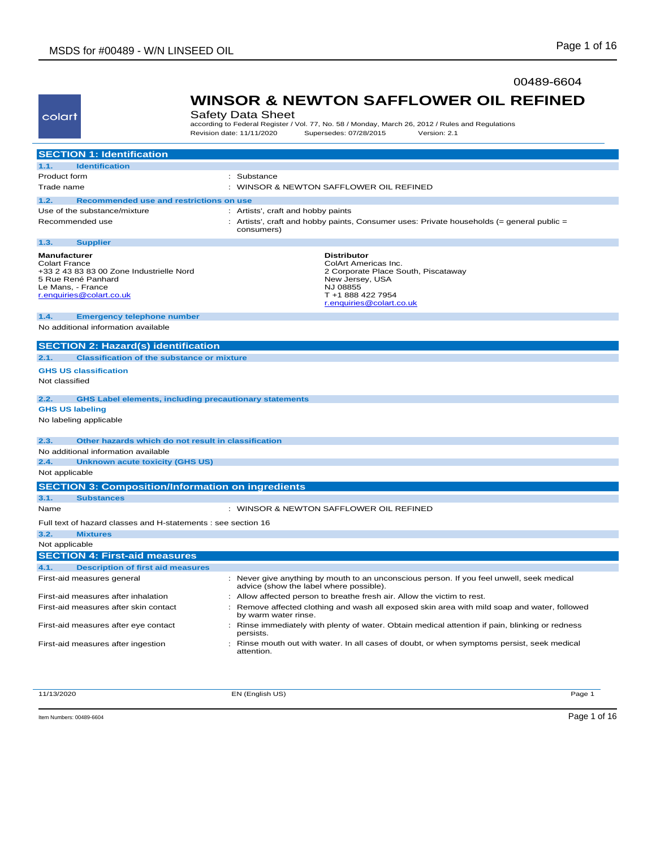colart

 $\sim$ 

### 00489-6604

**WINSOR & NEWTON SAFFLOWER OIL REFINED**

| uunu                                                                                                                                                           | baicty Data Oncet<br>according to Federal Register / Vol. 77, No. 58 / Monday, March 26, 2012 / Rules and Regulations<br>Revision date: 11/11/2020<br>Supersedes: 07/28/2015<br>Version: 2.1 |
|----------------------------------------------------------------------------------------------------------------------------------------------------------------|----------------------------------------------------------------------------------------------------------------------------------------------------------------------------------------------|
| <b>SECTION 1: Identification</b>                                                                                                                               |                                                                                                                                                                                              |
| <b>Identification</b><br>1.1.                                                                                                                                  |                                                                                                                                                                                              |
| Product form                                                                                                                                                   | : Substance                                                                                                                                                                                  |
| Trade name                                                                                                                                                     | : WINSOR & NEWTON SAFFLOWER OIL REFINED                                                                                                                                                      |
| 1.2.<br>Recommended use and restrictions on use                                                                                                                |                                                                                                                                                                                              |
| Use of the substance/mixture                                                                                                                                   | : Artists', craft and hobby paints                                                                                                                                                           |
| Recommended use                                                                                                                                                | : Artists', craft and hobby paints, Consumer uses: Private households (= general public =<br>consumers)                                                                                      |
| 1.3.<br><b>Supplier</b>                                                                                                                                        |                                                                                                                                                                                              |
| <b>Manufacturer</b><br><b>Colart France</b><br>+33 2 43 83 83 00 Zone Industrielle Nord<br>5 Rue René Panhard<br>Le Mans, - France<br>r.enquiries@colart.co.uk | <b>Distributor</b><br>ColArt Americas Inc.<br>2 Corporate Place South, Piscataway<br>New Jersey, USA<br>NJ 08855<br>T +1 888 422 7954<br>r.enquiries@colart.co.uk                            |
| <b>Emergency telephone number</b><br>1.4.                                                                                                                      |                                                                                                                                                                                              |
| No additional information available                                                                                                                            |                                                                                                                                                                                              |
| <b>SECTION 2: Hazard(s) identification</b>                                                                                                                     |                                                                                                                                                                                              |
| 2.1.<br><b>Classification of the substance or mixture</b>                                                                                                      |                                                                                                                                                                                              |
| <b>GHS US classification</b>                                                                                                                                   |                                                                                                                                                                                              |
| Not classified                                                                                                                                                 |                                                                                                                                                                                              |
| 2.2.                                                                                                                                                           | <b>GHS Label elements, including precautionary statements</b>                                                                                                                                |
| <b>GHS US labeling</b>                                                                                                                                         |                                                                                                                                                                                              |
| No labeling applicable                                                                                                                                         |                                                                                                                                                                                              |
| 2.3.                                                                                                                                                           | Other hazards which do not result in classification                                                                                                                                          |
| No additional information available                                                                                                                            |                                                                                                                                                                                              |
| 2.4.<br><b>Unknown acute toxicity (GHS US)</b>                                                                                                                 |                                                                                                                                                                                              |
| Not applicable                                                                                                                                                 |                                                                                                                                                                                              |
| <b>SECTION 3: Composition/Information on ingredients</b>                                                                                                       |                                                                                                                                                                                              |
| 3.1.<br><b>Substances</b>                                                                                                                                      |                                                                                                                                                                                              |
| Name                                                                                                                                                           | : WINSOR & NEWTON SAFFLOWER OIL REFINED                                                                                                                                                      |
| Full text of hazard classes and H-statements : see section 16                                                                                                  |                                                                                                                                                                                              |
| 3.2.<br><b>Mixtures</b>                                                                                                                                        |                                                                                                                                                                                              |
| Not applicable                                                                                                                                                 |                                                                                                                                                                                              |
| <b>SECTION 4: First-aid measures</b>                                                                                                                           |                                                                                                                                                                                              |
| 4.1.<br><b>Description of first aid measures</b>                                                                                                               |                                                                                                                                                                                              |
| First-aid measures general                                                                                                                                     | : Never give anything by mouth to an unconscious person. If you feel unwell, seek medical<br>advice (show the label where possible).                                                         |
| First-aid measures after inhalation                                                                                                                            | : Allow affected person to breathe fresh air. Allow the victim to rest.                                                                                                                      |
| First-aid measures after skin contact                                                                                                                          | : Remove affected clothing and wash all exposed skin area with mild soap and water, followed<br>by warm water rinse.                                                                         |
| First-aid measures after eye contact                                                                                                                           | : Rinse immediately with plenty of water. Obtain medical attention if pain, blinking or redness<br>persists.                                                                                 |

Safety Data Sheet

First-aid measures after ingestion : Rinse mouth out with water. In all cases of doubt, or when symptoms persist, seek medical

11/13/2020 EN (English US) Page 1

attention.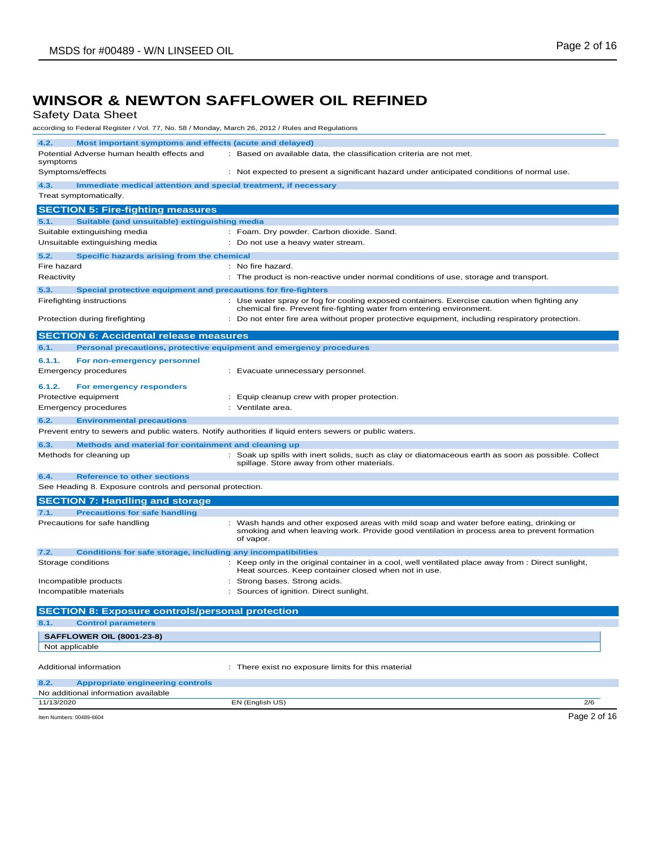Safety Data Sheet

according to Federal Register / Vol. 77, No. 58 / Monday, March 26, 2012 / Rules and Regulations

| according to Fodclar Register / Vol. 77, No. 00 / Monday, March 20, 2012 / Raico and Regulatio |                                                                                                                                                                                          |
|------------------------------------------------------------------------------------------------|------------------------------------------------------------------------------------------------------------------------------------------------------------------------------------------|
| 4.2.<br>Most important symptoms and effects (acute and delayed)                                |                                                                                                                                                                                          |
| Potential Adverse human health effects and                                                     | : Based on available data, the classification criteria are not met.                                                                                                                      |
| symptoms                                                                                       |                                                                                                                                                                                          |
| Symptoms/effects                                                                               | : Not expected to present a significant hazard under anticipated conditions of normal use.                                                                                               |
| 4.3.<br>Immediate medical attention and special treatment, if necessary                        |                                                                                                                                                                                          |
| Treat symptomatically.                                                                         |                                                                                                                                                                                          |
| <b>SECTION 5: Fire-fighting measures</b>                                                       |                                                                                                                                                                                          |
| 5.1.<br>Suitable (and unsuitable) extinguishing media                                          |                                                                                                                                                                                          |
| Suitable extinguishing media                                                                   | : Foam. Dry powder. Carbon dioxide. Sand.                                                                                                                                                |
| Unsuitable extinguishing media                                                                 | : Do not use a heavy water stream.                                                                                                                                                       |
| 5.2.<br>Specific hazards arising from the chemical                                             |                                                                                                                                                                                          |
| Fire hazard<br>Reactivity                                                                      | : No fire hazard.<br>: The product is non-reactive under normal conditions of use, storage and transport.                                                                                |
|                                                                                                |                                                                                                                                                                                          |
| 5.3.<br>Special protective equipment and precautions for fire-fighters                         |                                                                                                                                                                                          |
| Firefighting instructions                                                                      | : Use water spray or fog for cooling exposed containers. Exercise caution when fighting any<br>chemical fire. Prevent fire-fighting water from entering environment.                     |
| Protection during firefighting                                                                 | : Do not enter fire area without proper protective equipment, including respiratory protection.                                                                                          |
|                                                                                                |                                                                                                                                                                                          |
| <b>SECTION 6: Accidental release measures</b>                                                  |                                                                                                                                                                                          |
| 6.1.                                                                                           | Personal precautions, protective equipment and emergency procedures                                                                                                                      |
| 6.1.1.<br>For non-emergency personnel                                                          |                                                                                                                                                                                          |
| <b>Emergency procedures</b>                                                                    | : Evacuate unnecessary personnel.                                                                                                                                                        |
| 6.1.2.<br>For emergency responders                                                             |                                                                                                                                                                                          |
| Protective equipment                                                                           | : Equip cleanup crew with proper protection.                                                                                                                                             |
| Emergency procedures                                                                           | : Ventilate area.                                                                                                                                                                        |
| 6.2.<br><b>Environmental precautions</b>                                                       |                                                                                                                                                                                          |
|                                                                                                | Prevent entry to sewers and public waters. Notify authorities if liquid enters sewers or public waters.                                                                                  |
| 6.3.<br>Methods and material for containment and cleaning up                                   |                                                                                                                                                                                          |
| Methods for cleaning up                                                                        | : Soak up spills with inert solids, such as clay or diatomaceous earth as soon as possible. Collect                                                                                      |
|                                                                                                | spillage. Store away from other materials.                                                                                                                                               |
| 6.4.<br><b>Reference to other sections</b>                                                     |                                                                                                                                                                                          |
| See Heading 8. Exposure controls and personal protection.                                      |                                                                                                                                                                                          |
| <b>SECTION 7: Handling and storage</b>                                                         |                                                                                                                                                                                          |
| <b>Precautions for safe handling</b><br>7.1.                                                   |                                                                                                                                                                                          |
| Precautions for safe handling                                                                  | : Wash hands and other exposed areas with mild soap and water before eating, drinking or<br>smoking and when leaving work. Provide good ventilation in process area to prevent formation |
|                                                                                                | of vapor.                                                                                                                                                                                |
| 7.2.<br><b>Conditions for safe storage, including any incompatibilities</b>                    |                                                                                                                                                                                          |
| Storage conditions                                                                             | : Keep only in the original container in a cool, well ventilated place away from : Direct sunlight,                                                                                      |
|                                                                                                | Heat sources. Keep container closed when not in use.                                                                                                                                     |
| Incompatible products                                                                          | : Strong bases. Strong acids.                                                                                                                                                            |
| Incompatible materials                                                                         | Sources of ignition. Direct sunlight.                                                                                                                                                    |
| <b>SECTION 8: Exposure controls/personal protection</b>                                        |                                                                                                                                                                                          |
| 8.1.<br><b>Control parameters</b>                                                              |                                                                                                                                                                                          |
| <b>SAFFLOWER OIL (8001-23-8)</b>                                                               |                                                                                                                                                                                          |
| Not applicable                                                                                 |                                                                                                                                                                                          |
|                                                                                                |                                                                                                                                                                                          |
| Additional information                                                                         | : There exist no exposure limits for this material                                                                                                                                       |
| 8.2.<br><b>Appropriate engineering controls</b>                                                |                                                                                                                                                                                          |
| No additional information available                                                            |                                                                                                                                                                                          |
| 11/13/2020                                                                                     | EN (English US)<br>2/6                                                                                                                                                                   |
| Item Numbers: 00489-6604                                                                       | Page 2 of 16                                                                                                                                                                             |
|                                                                                                |                                                                                                                                                                                          |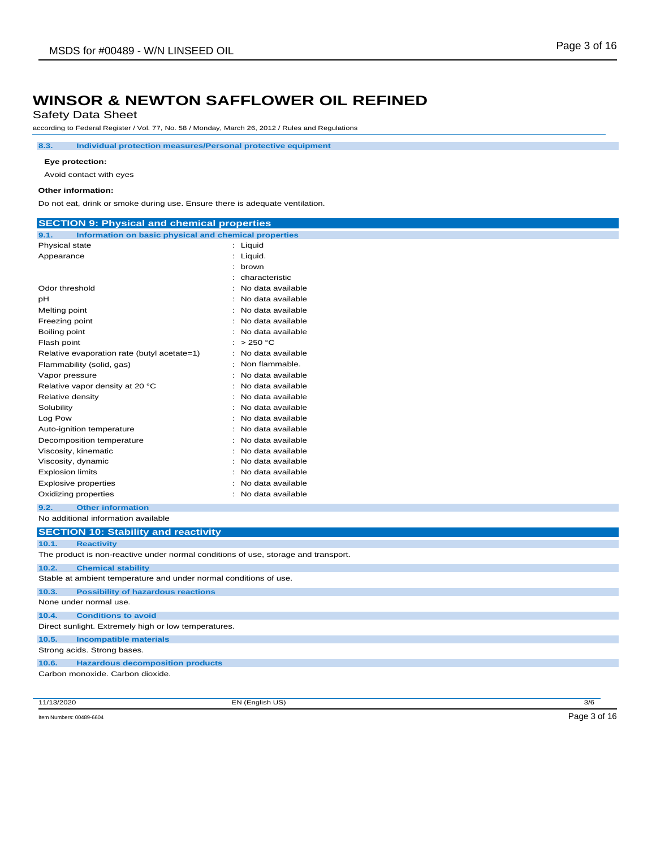Safety Data Sheet

according to Federal Register / Vol. 77, No. 58 / Monday, March 26, 2012 / Rules and Regulations

**8.3. Individual protection measures/Personal protective equipment**

### **Eye protection:**

Avoid contact with eyes

#### **Other information:**

Do not eat, drink or smoke during use. Ensure there is adequate ventilation.

| <b>SECTION 9: Physical and chemical properties</b>                                 |                                        |
|------------------------------------------------------------------------------------|----------------------------------------|
| Information on basic physical and chemical properties<br>9.1.                      |                                        |
| Physical state                                                                     | : Liquid                               |
| Appearance                                                                         | : Liquid.                              |
|                                                                                    | brown                                  |
|                                                                                    | characteristic                         |
| Odor threshold                                                                     | No data available                      |
| pН                                                                                 | No data available                      |
| Melting point                                                                      | No data available                      |
| Freezing point                                                                     | No data available                      |
| Boiling point                                                                      | No data available                      |
| Flash point                                                                        | : $>250 °C$                            |
| Relative evaporation rate (butyl acetate=1)                                        | No data available                      |
| Flammability (solid, gas)                                                          | Non flammable.                         |
| Vapor pressure                                                                     | No data available                      |
| Relative vapor density at 20 °C                                                    | No data available                      |
| Relative density                                                                   | : No data available                    |
| Solubility                                                                         | No data available                      |
| Log Pow                                                                            | No data available                      |
| Auto-ignition temperature                                                          | No data available                      |
| Decomposition temperature                                                          | No data available<br>No data available |
| Viscosity, kinematic<br>Viscosity, dynamic                                         | No data available                      |
| <b>Explosion limits</b>                                                            | No data available                      |
| <b>Explosive properties</b>                                                        | No data available                      |
| Oxidizing properties                                                               | No data available                      |
| 9.2.<br><b>Other information</b>                                                   |                                        |
| No additional information available                                                |                                        |
|                                                                                    |                                        |
| <b>SECTION 10: Stability and reactivity</b>                                        |                                        |
| <b>Reactivity</b><br>10.1.                                                         |                                        |
| The product is non-reactive under normal conditions of use, storage and transport. |                                        |
| 10.2.<br><b>Chemical stability</b>                                                 |                                        |
| Stable at ambient temperature and under normal conditions of use.                  |                                        |
| <b>Possibility of hazardous reactions</b><br>10.3.                                 |                                        |
| None under normal use.                                                             |                                        |
| 10.4.<br><b>Conditions to avoid</b>                                                |                                        |
| Direct sunlight. Extremely high or low temperatures.                               |                                        |
| 10.5.<br><b>Incompatible materials</b>                                             |                                        |
| Strong acids. Strong bases.                                                        |                                        |
| <b>Hazardous decomposition products</b><br>10.6.                                   |                                        |
| Carbon monoxide. Carbon dioxide.                                                   |                                        |
|                                                                                    |                                        |

11/13/2020 EN (English US) 3/6

Item Numbers: 00489-6604 Page 3 of 16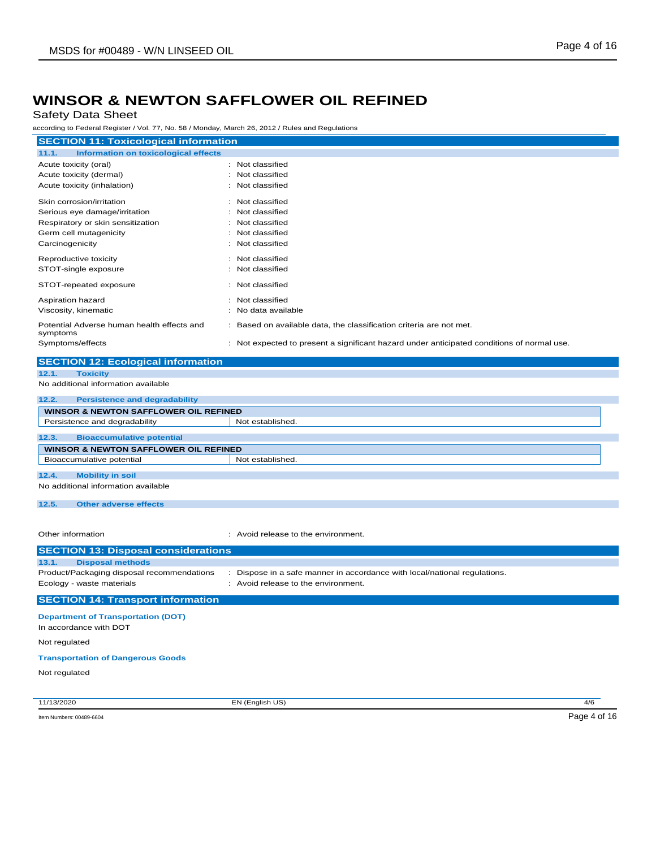Safety Data Sheet

according to Federal Register / Vol. 77, No. 58 / Monday, March 26, 2012 / Rules and Regulations

| according to Federal Register / Vol. 77, No. 58 / Monday, March 26, 2012 / Rules and Regulations |                                                                                            |
|--------------------------------------------------------------------------------------------------|--------------------------------------------------------------------------------------------|
| <b>SECTION 11: Toxicological information</b>                                                     |                                                                                            |
| 11.1.<br><b>Information on toxicological effects</b>                                             |                                                                                            |
| Acute toxicity (oral)                                                                            | : Not classified                                                                           |
| Acute toxicity (dermal)                                                                          | Not classified<br>÷                                                                        |
| Acute toxicity (inhalation)                                                                      | Not classified                                                                             |
| Skin corrosion/irritation                                                                        | : Not classified                                                                           |
| Serious eye damage/irritation                                                                    | Not classified                                                                             |
| Respiratory or skin sensitization                                                                | Not classified                                                                             |
| Germ cell mutagenicity                                                                           | Not classified                                                                             |
| Carcinogenicity                                                                                  | Not classified                                                                             |
| Reproductive toxicity                                                                            | : Not classified                                                                           |
| STOT-single exposure                                                                             | Not classified                                                                             |
| STOT-repeated exposure                                                                           | : Not classified                                                                           |
| Aspiration hazard                                                                                | : Not classified                                                                           |
| Viscosity, kinematic                                                                             | No data available                                                                          |
| Potential Adverse human health effects and<br>symptoms                                           | Based on available data, the classification criteria are not met.                          |
| Symptoms/effects                                                                                 | : Not expected to present a significant hazard under anticipated conditions of normal use. |
| <b>SECTION 12: Ecological information</b>                                                        |                                                                                            |
| 12.1.<br><b>Toxicity</b>                                                                         |                                                                                            |
| No additional information available                                                              |                                                                                            |
| 12.2.<br><b>Persistence and degradability</b>                                                    |                                                                                            |
| <b>WINSOR &amp; NEWTON SAFFLOWER OIL REFINED</b>                                                 |                                                                                            |
| Persistence and degradability                                                                    | Not established.                                                                           |
| 12.3.<br><b>Bioaccumulative potential</b>                                                        |                                                                                            |
| <b>WINSOR &amp; NEWTON SAFFLOWER OIL REFINED</b>                                                 |                                                                                            |
| Bioaccumulative potential                                                                        | Not established.                                                                           |
| 12.4.<br><b>Mobility in soil</b>                                                                 |                                                                                            |
| No additional information available                                                              |                                                                                            |
| 12.5.<br><b>Other adverse effects</b>                                                            |                                                                                            |
|                                                                                                  |                                                                                            |
|                                                                                                  |                                                                                            |
| Other information                                                                                | : Avoid release to the environment.                                                        |
| <b>SECTION 13: Disposal considerations</b>                                                       |                                                                                            |
| 13.1.<br><b>Disposal methods</b>                                                                 |                                                                                            |
| Product/Packaging disposal recommendations                                                       | : Dispose in a safe manner in accordance with local/national regulations.                  |
| Ecology - waste materials                                                                        | : Avoid release to the environment.                                                        |
| <b>SECTION 14: Transport information</b>                                                         |                                                                                            |
| <b>Department of Transportation (DOT)</b>                                                        |                                                                                            |
| In accordance with DOT                                                                           |                                                                                            |
| Not regulated                                                                                    |                                                                                            |
| <b>Transportation of Dangerous Goods</b>                                                         |                                                                                            |

Not regulated

11/13/2020 EN (English US) 4/6

Item Numbers: 00489-6604 Page 4 of 16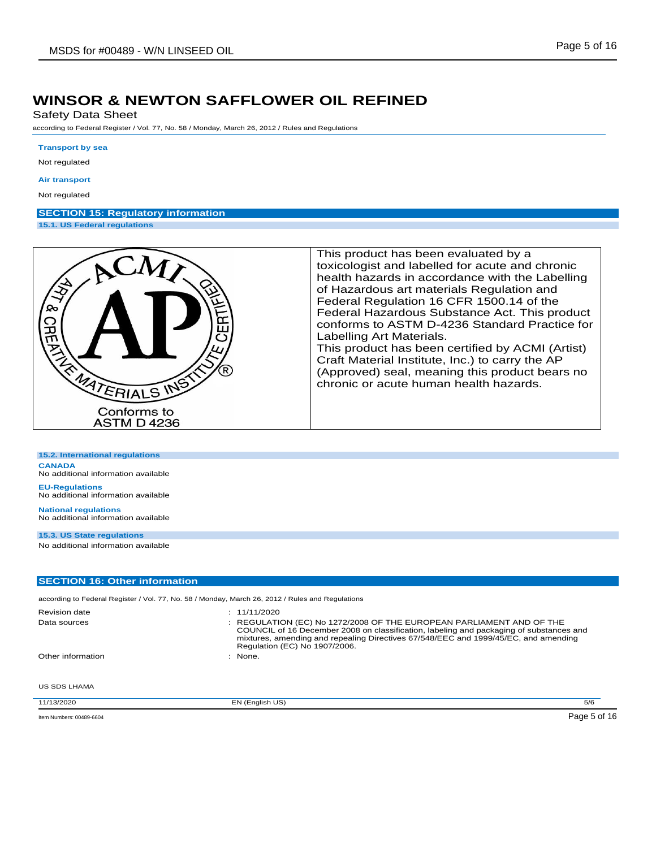Safety Data Sheet

according to Federal Register / Vol. 77, No. 58 / Monday, March 26, 2012 / Rules and Regulations

#### **Transport by sea**

Not regulated

#### **Air transport**

Not regulated

## **SECTION 15: Regulatory information**

**15.1. US Federal regulations**

**15.2. International regulations**



This product has been evaluated by a toxicologist and labelled for acute and chronic health hazards in accordance with the Labelling of Hazardous art materials Regulation and Federal Regulation 16 CFR 1500.14 of the Federal Hazardous Substance Act. This product conforms to ASTM D-4236 Standard Practice for Labelling Art Materials. This product has been certified by ACMI (Artist)

Craft Material Institute, Inc.) to carry the AP (Approved) seal, meaning this product bears no chronic or acute human health hazards.

| <b>CANADA</b><br>No additional information available                                             |                                                                                                                                                                                                                                                                                         |
|--------------------------------------------------------------------------------------------------|-----------------------------------------------------------------------------------------------------------------------------------------------------------------------------------------------------------------------------------------------------------------------------------------|
| <b>EU-Regulations</b><br>No additional information available                                     |                                                                                                                                                                                                                                                                                         |
| <b>National regulations</b><br>No additional information available                               |                                                                                                                                                                                                                                                                                         |
| 15.3. US State regulations                                                                       |                                                                                                                                                                                                                                                                                         |
| No additional information available                                                              |                                                                                                                                                                                                                                                                                         |
| <b>SECTION 16: Other information</b>                                                             |                                                                                                                                                                                                                                                                                         |
|                                                                                                  |                                                                                                                                                                                                                                                                                         |
| according to Federal Register / Vol. 77, No. 58 / Monday, March 26, 2012 / Rules and Regulations |                                                                                                                                                                                                                                                                                         |
| <b>Revision date</b>                                                                             | : 11/11/2020                                                                                                                                                                                                                                                                            |
| Data sources                                                                                     | : REGULATION (EC) No 1272/2008 OF THE EUROPEAN PARLIAMENT AND OF THE<br>COUNCIL of 16 December 2008 on classification, labeling and packaging of substances and<br>mixtures, amending and repealing Directives 67/548/EEC and 1999/45/EC, and amending<br>Regulation (EC) No 1907/2006. |
| Other information                                                                                | : None.                                                                                                                                                                                                                                                                                 |

US SDS LHAMA

11/13/2020 EN (English US) 5/6 Item Numbers: 00489-6604 Page 5 of 16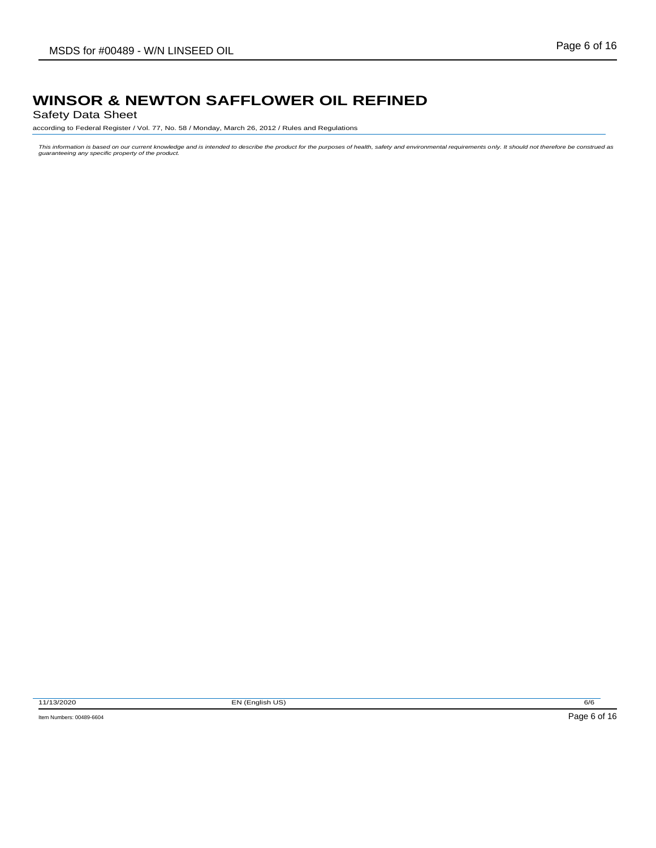Safety Data Sheet

according to Federal Register / Vol. 77, No. 58 / Monday, March 26, 2012 / Rules and Regulations

This information is based on our current knowledge and is intended to describe the product for the purposes of health, safety and environmental requirements only. It should not therefore be construed as<br>guaranteeing any sp

11/13/2020 EN (English US) 6/6

Item Numbers: 00489-6604 Page 6 of 16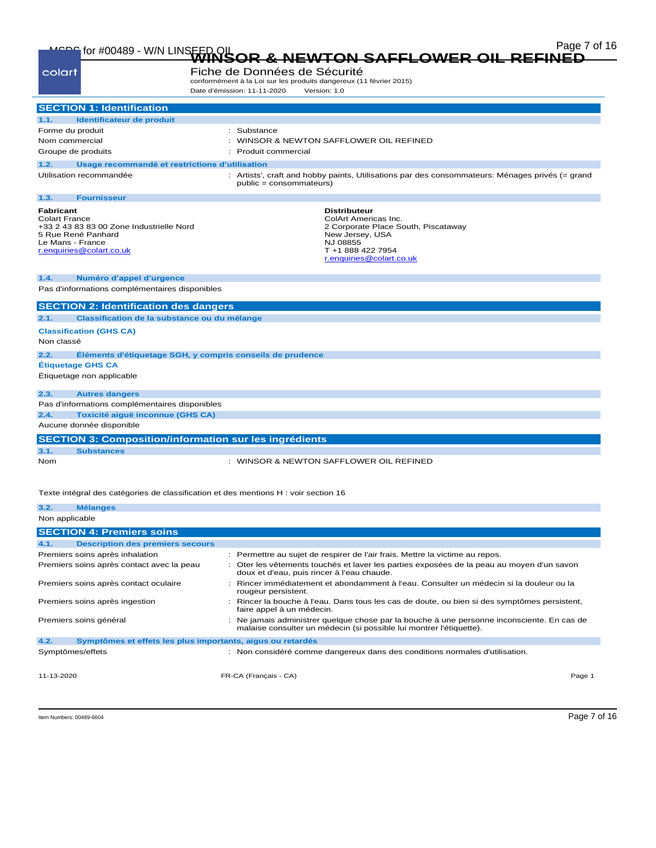| MEDE for #00489 - W/N LINSEED OL                                                                                                                           | Page 7 of 16<br><b>NEWTON SAFFLOWER OIL REI</b>                                                                                                                    |
|------------------------------------------------------------------------------------------------------------------------------------------------------------|--------------------------------------------------------------------------------------------------------------------------------------------------------------------|
| colart                                                                                                                                                     | Fiche de Données de Sécurité<br>conformément à la Loi sur les produits dangereux (11 février 2015)<br>Date d'émission: 11-11-2020<br>Version: 1.0                  |
| <b>SECTION 1: Identification</b>                                                                                                                           |                                                                                                                                                                    |
| Identificateur de produit<br>1.1.                                                                                                                          |                                                                                                                                                                    |
| Forme du produit                                                                                                                                           | : Substance                                                                                                                                                        |
| Nom commercial                                                                                                                                             | : WINSOR & NEWTON SAFFLOWER OIL REFINED                                                                                                                            |
| Groupe de produits                                                                                                                                         | Produit commercial                                                                                                                                                 |
| 1.2.                                                                                                                                                       | Usage recommandé et restrictions d'utilisation                                                                                                                     |
| Utilisation recommandée                                                                                                                                    | : Artists', craft and hobby paints, Utilisations par des consommateurs: Ménages privés (= grand<br>public = consommateurs)                                         |
| <b>Fournisseur</b><br>1.3.                                                                                                                                 |                                                                                                                                                                    |
| <b>Fabricant</b><br><b>Colart France</b><br>+33 2 43 83 83 00 Zone Industrielle Nord<br>5 Rue René Panhard<br>Le Mans - France<br>r.enquiries@colart.co.uk | <b>Distributeur</b><br>ColArt Americas Inc.<br>2 Corporate Place South, Piscataway<br>New Jersey, USA<br>NJ 08855<br>T +1 888 422 7954<br>r.enquiries@colart.co.uk |
| Numéro d'appel d'urgence<br>1.4.                                                                                                                           |                                                                                                                                                                    |
| Pas d'informations complémentaires disponibles                                                                                                             |                                                                                                                                                                    |
| <b>SECTION 2: Identification des dangers</b>                                                                                                               |                                                                                                                                                                    |
| 2.1.                                                                                                                                                       | Classification de la substance ou du mélange                                                                                                                       |
| <b>Classification (GHS CA)</b><br>Non classé                                                                                                               |                                                                                                                                                                    |
| 2.2.                                                                                                                                                       | Eléments d'étiquetage SGH, y compris conseils de prudence                                                                                                          |
| <b>Étiquetage GHS CA</b>                                                                                                                                   |                                                                                                                                                                    |
| Étiquetage non applicable                                                                                                                                  |                                                                                                                                                                    |
| 2.3.<br><b>Autres dangers</b>                                                                                                                              |                                                                                                                                                                    |
| Pas d'informations complémentaires disponibles                                                                                                             |                                                                                                                                                                    |
| Toxicité aiguë inconnue (GHS CA)<br>2.4.                                                                                                                   |                                                                                                                                                                    |
| Aucune donnée disponible                                                                                                                                   |                                                                                                                                                                    |
|                                                                                                                                                            | <b>SECTION 3: Composition/information sur les ingrédients</b>                                                                                                      |
| <b>Substances</b><br>3.1.                                                                                                                                  |                                                                                                                                                                    |
| Nom                                                                                                                                                        | : WINSOR & NEWTON SAFFLOWER OIL REFINED                                                                                                                            |
|                                                                                                                                                            | Texte intégral des catégories de classification et des mentions H : voir section 16                                                                                |
| 3.2.<br><b>Mélanges</b>                                                                                                                                    |                                                                                                                                                                    |
| Non applicable                                                                                                                                             |                                                                                                                                                                    |
| <b>SECTION 4: Premiers soins</b>                                                                                                                           |                                                                                                                                                                    |
| 4.1.<br><b>Description des premiers secours</b>                                                                                                            |                                                                                                                                                                    |
|                                                                                                                                                            |                                                                                                                                                                    |

11-13-2020 FR-CA (Français - CA) Page 1 Premiers soins après inhalation : Permettre au sujet de respirer de l'air frais. Mettre la victime au repos. Premiers soins après contact avec la peau : Oter les vêtements touchés et laver les parties exposées de la peau au moyen d'un savon doux et d'eau, puis rincer à l'eau chaude. Premiers soins après contact oculaire : Rincer immédiatement et abondamment à l'eau. Consulter un médecin si la douleur ou la rougeur persistent. Premiers soins après ingestion : Rincer la bouche à l'eau. Dans tous les cas de doute, ou bien si des symptômes persistent, faire appel à un médecin. Premiers soins général en la consulter et de la mais administrer quelque chose par la bouche à une personne inconsciente. En cas de malaise consulter un médecin (si possible lui montrer l'étiquette). **4.2. Symptômes et effets les plus importants, aigus ou retardés** Symptômes/effets **industrial in the constant of the condition** : Non considéré comme dangereux dans des conditions normales d'utilisation.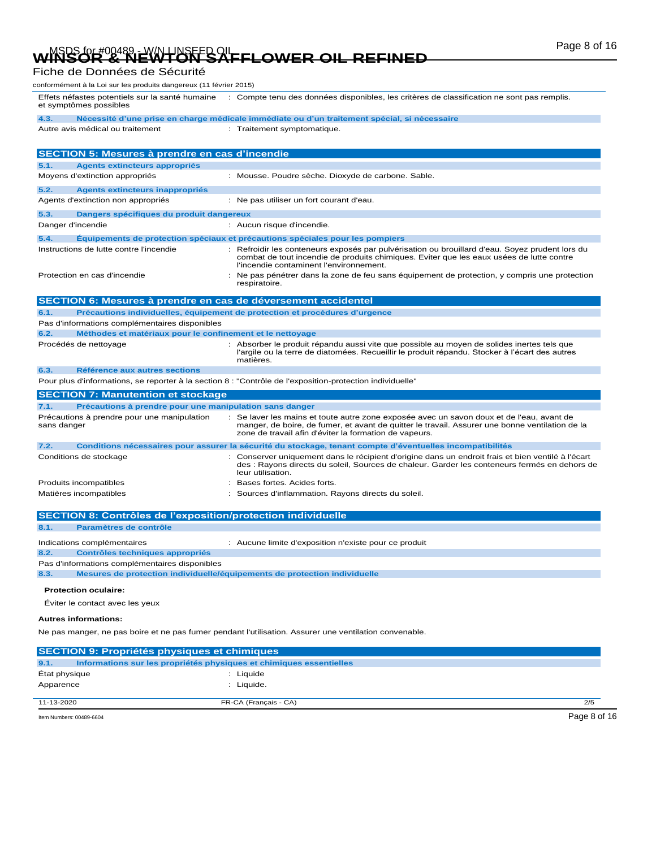# WINSOR & NEWTON SAFFLOWER OIL REFINED Page 8 of 16

## Fiche de Données de Sécurité

conformément à la Loi sur les produits dangereux (11 février 2015)

Effets néfastes potentiels sur la santé humaine : Compte tenu des données disponibles, les critères de classification ne sont pas remplis. et symptômes possibles

**4.3. Nécessité d'une prise en charge médicale immédiate ou d'un traitement spécial, si nécessaire**

Autre avis médical ou traitement : Traitement symptomatique.

|             | SECTION 5: Mesures à prendre en cas d'incendie                      |                                                                                                                                                                                                                                                      |
|-------------|---------------------------------------------------------------------|------------------------------------------------------------------------------------------------------------------------------------------------------------------------------------------------------------------------------------------------------|
| 5.1.        | Agents extincteurs appropriés                                       |                                                                                                                                                                                                                                                      |
|             | Moyens d'extinction appropriés                                      | : Mousse. Poudre sèche. Dioxyde de carbone. Sable.                                                                                                                                                                                                   |
| 5.2.        | Agents extincteurs inappropriés                                     |                                                                                                                                                                                                                                                      |
|             | Agents d'extinction non appropriés                                  | : Ne pas utiliser un fort courant d'eau.                                                                                                                                                                                                             |
| 5.3.        | Dangers spécifiques du produit dangereux                            |                                                                                                                                                                                                                                                      |
|             | Danger d'incendie                                                   | : Aucun risque d'incendie.                                                                                                                                                                                                                           |
| 5.4.        |                                                                     | Equipements de protection spéciaux et précautions spéciales pour les pompiers                                                                                                                                                                        |
|             | Instructions de lutte contre l'incendie                             | : Refroidir les conteneurs exposés par pulvérisation ou brouillard d'eau. Soyez prudent lors du<br>combat de tout incendie de produits chimiques. Eviter que les eaux usées de lutte contre<br>l'incendie contaminent l'environnement.               |
|             | Protection en cas d'incendie                                        | Ne pas pénétrer dans la zone de feu sans équipement de protection, y compris une protection<br>respiratoire.                                                                                                                                         |
|             | SECTION 6: Mesures à prendre en cas de déversement accidentel       |                                                                                                                                                                                                                                                      |
| 6.1.        |                                                                     | Précautions individuelles, équipement de protection et procédures d'urgence                                                                                                                                                                          |
|             | Pas d'informations complémentaires disponibles                      |                                                                                                                                                                                                                                                      |
| 6.2.        | Méthodes et matériaux pour le confinement et le nettoyage           |                                                                                                                                                                                                                                                      |
|             | Procédés de nettoyage                                               | Absorber le produit répandu aussi vite que possible au moyen de solides inertes tels que<br>l'argile ou la terre de diatomées. Recueillir le produit répandu. Stocker à l'écart des autres<br>matières.                                              |
| 6.3.        | Référence aux autres sections                                       |                                                                                                                                                                                                                                                      |
|             |                                                                     | Pour plus d'informations, se reporter à la section 8 : "Contrôle de l'exposition-protection individuelle"                                                                                                                                            |
|             | <b>SECTION 7: Manutention et stockage</b>                           |                                                                                                                                                                                                                                                      |
| 7.1.        | Précautions à prendre pour une manipulation sans danger             |                                                                                                                                                                                                                                                      |
| sans danger | Précautions à prendre pour une manipulation                         | Se laver les mains et toute autre zone exposée avec un savon doux et de l'eau, avant de<br>manger, de boire, de fumer, et avant de quitter le travail. Assurer une bonne ventilation de la<br>zone de travail afin d'éviter la formation de vapeurs. |
| 7.2.        |                                                                     | Conditions nécessaires pour assurer la sécurité du stockage, tenant compte d'éventuelles incompatibilités                                                                                                                                            |
|             | Conditions de stockage                                              | Conserver uniquement dans le récipient d'origine dans un endroit frais et bien ventilé à l'écart<br>des : Rayons directs du soleil, Sources de chaleur. Garder les conteneurs fermés en dehors de<br>leur utilisation.                               |
|             | Produits incompatibles                                              | Bases fortes. Acides forts.                                                                                                                                                                                                                          |
|             | Matières incompatibles                                              | Sources d'inflammation. Rayons directs du soleil.                                                                                                                                                                                                    |
|             | <b>CECTION 0. Contrâles de l'expecition/protection individualle</b> |                                                                                                                                                                                                                                                      |

|      | <b>SECTION 8: Contrôles de l'exposition/protection individuelle</b> |                                                                                                        |
|------|---------------------------------------------------------------------|--------------------------------------------------------------------------------------------------------|
| 8.1. | Paramètres de contrôle                                              |                                                                                                        |
|      | Indications complémentaires                                         | : Aucune limite d'exposition n'existe pour ce produit                                                  |
| 8.2. | <b>Contrôles techniques appropriés</b>                              |                                                                                                        |
|      | Pas d'informations complémentaires disponibles                      |                                                                                                        |
| 8.3. |                                                                     | Mesures de protection individuelle/équipements de protection individuelle                              |
|      | <b>Protection oculaire:</b><br>Éviter le contact avec les yeux      |                                                                                                        |
|      | <b>Autres informations:</b>                                         |                                                                                                        |
|      |                                                                     | Ne pas manger, ne pas boire et ne pas fumer pendant l'utilisation. Assurer une ventilation convenable. |
|      | <b>SECTION 9: Propriétés physiques et chimiques</b>                 |                                                                                                        |

|               | Item Numbers: 00489-6604 |                                                                     | Page 8 of 16 |
|---------------|--------------------------|---------------------------------------------------------------------|--------------|
| 11-13-2020    |                          | FR-CA (Français - CA)                                               | 2/5          |
| Apparence     |                          | : Liquide.                                                          |              |
| État physique |                          | Liquide                                                             |              |
| 9.1.          |                          | Informations sur les propriétés physiques et chimiques essentielles |              |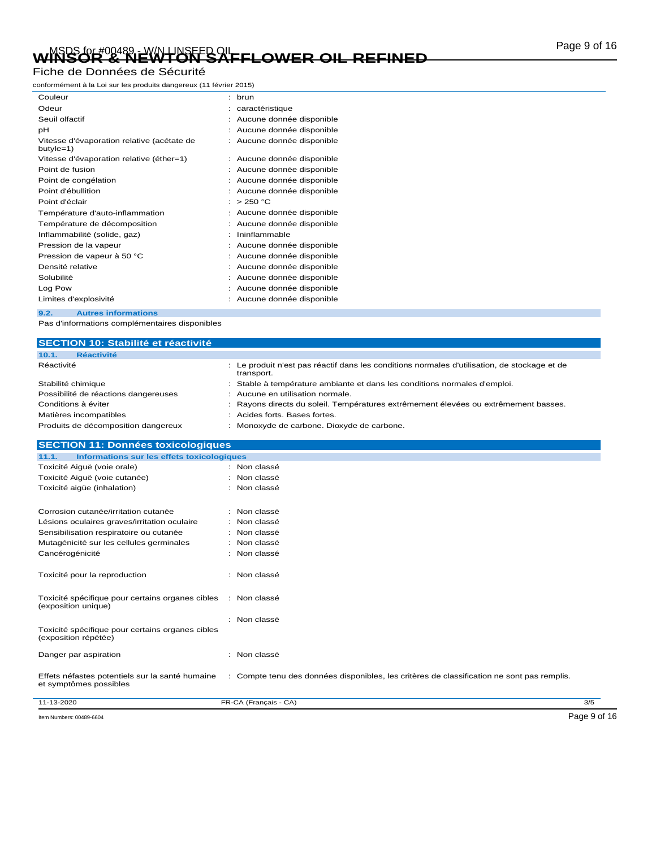# WINSOR & NEWTON SAFFLOWER OIL REFINED Page 9 of 16

### Fiche de Données de Sécurité

conformément à la Loi sur les produits dangereux (11 février 2015)

| Couleur                                                   |   | : brun                     |
|-----------------------------------------------------------|---|----------------------------|
| Odeur                                                     |   | caractéristique            |
| Seuil olfactif                                            |   | Aucune donnée disponible   |
| рH                                                        |   | Aucune donnée disponible   |
| Vitesse d'évaporation relative (acétate de<br>$butyle=1)$ |   | Aucune donnée disponible   |
| Vitesse d'évaporation relative (éther=1)                  |   | : Aucune donnée disponible |
| Point de fusion                                           |   | Aucune donnée disponible   |
| Point de congélation                                      |   | Aucune donnée disponible   |
| Point d'ébullition                                        |   | Aucune donnée disponible   |
| Point d'éclair                                            | ٠ | >250 °C                    |
| Température d'auto-inflammation                           |   | Aucune donnée disponible   |
| Température de décomposition                              |   | Aucune donnée disponible   |
| Inflammabilité (solide, gaz)                              |   | Ininflammable              |
| Pression de la vapeur                                     |   | Aucune donnée disponible   |
| Pression de vapeur à 50 °C                                |   | Aucune donnée disponible   |
| Densité relative                                          |   | Aucune donnée disponible   |
| Solubilité                                                |   | Aucune donnée disponible   |
| Log Pow                                                   |   | Aucune donnée disponible   |
| Limites d'explosivité                                     |   | Aucune donnée disponible   |
|                                                           |   |                            |

**9.2. Autres informations**

Pas d'informations complémentaires disponibles

| <b>SECTION 10: Stabilité et réactivité</b>                                |                                                                                                          |     |
|---------------------------------------------------------------------------|----------------------------------------------------------------------------------------------------------|-----|
| <b>Réactivité</b><br>10.1.                                                |                                                                                                          |     |
| Réactivité                                                                | Le produit n'est pas réactif dans les conditions normales d'utilisation, de stockage et de<br>transport. |     |
| Stabilité chimique                                                        | Stable à température ambiante et dans les conditions normales d'emploi.                                  |     |
| Possibilité de réactions dangereuses                                      | Aucune en utilisation normale.                                                                           |     |
| Conditions à éviter                                                       | Rayons directs du soleil. Températures extrêmement élevées ou extrêmement basses.                        |     |
| Matières incompatibles                                                    | Acides forts. Bases fortes.                                                                              |     |
| Produits de décomposition dangereux                                       | Monoxyde de carbone. Dioxyde de carbone.                                                                 |     |
| <b>SECTION 11: Données toxicologiques</b>                                 |                                                                                                          |     |
| 11.1.<br>Informations sur les effets toxicologiques                       |                                                                                                          |     |
| Toxicité Aiguë (voie orale)                                               | : Non classé                                                                                             |     |
| Toxicité Aiguë (voie cutanée)                                             | Non classé                                                                                               |     |
| Toxicité aigüe (inhalation)                                               | Non classé                                                                                               |     |
| Corrosion cutanée/irritation cutanée                                      | : Non classé                                                                                             |     |
| Lésions oculaires graves/irritation oculaire                              | Non classé                                                                                               |     |
| Sensibilisation respiratoire ou cutanée                                   | Non classé                                                                                               |     |
| Mutagénicité sur les cellules germinales                                  | Non classé                                                                                               |     |
| Cancérogénicité                                                           | Non classé                                                                                               |     |
| Toxicité pour la reproduction                                             | Non classé                                                                                               |     |
| Toxicité spécifique pour certains organes cibles<br>(exposition unique)   | : Non classé                                                                                             |     |
|                                                                           | Non classé                                                                                               |     |
| Toxicité spécifique pour certains organes cibles<br>(exposition répétée)  |                                                                                                          |     |
| Danger par aspiration                                                     | : Non classé                                                                                             |     |
| Effets néfastes potentiels sur la santé humaine<br>et symptômes possibles | : Compte tenu des données disponibles, les critères de classification ne sont pas remplis.               |     |
| 11-13-2020                                                                | FR-CA (Français - CA)                                                                                    | 3/5 |

Item Numbers: 00489-6604 Page 9 of 16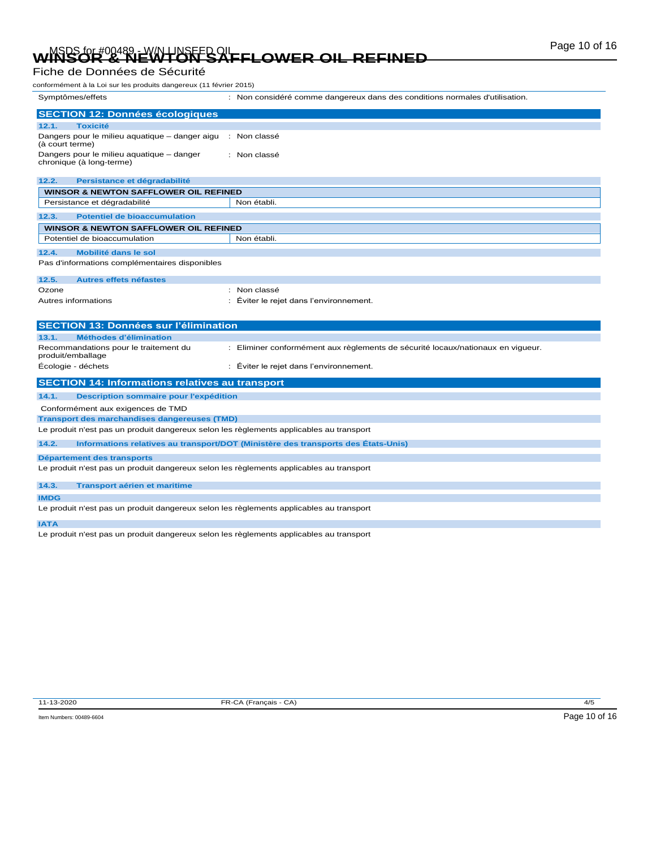# WINSOR & NEWTON SAFFLOWER OIL REFINED Page 10 of 16

### Fiche de Données de Sécurité

| conformément à la Loi sur les produits dangereux (11 février 2015)                                                    |                                                                                   |
|-----------------------------------------------------------------------------------------------------------------------|-----------------------------------------------------------------------------------|
| Symptômes/effets                                                                                                      | : Non considéré comme dangereux dans des conditions normales d'utilisation.       |
| <b>SECTION 12: Données écologiques</b>                                                                                |                                                                                   |
| 12.1.<br><b>Toxicité</b>                                                                                              |                                                                                   |
| Dangers pour le milieu aquatique – danger aigu : Non classé<br>(à court terme)                                        |                                                                                   |
| Dangers pour le milieu aquatique - danger<br>chronique (à long-terme)                                                 | : Non classé                                                                      |
| 12.2.<br>Persistance et dégradabilité                                                                                 |                                                                                   |
| <b>WINSOR &amp; NEWTON SAFFLOWER OIL REFINED</b>                                                                      |                                                                                   |
| Persistance et dégradabilité                                                                                          | Non établi.                                                                       |
| 12.3.<br><b>Potentiel de bioaccumulation</b>                                                                          |                                                                                   |
| <b>WINSOR &amp; NEWTON SAFFLOWER OIL REFINED</b>                                                                      |                                                                                   |
| Potentiel de bioaccumulation                                                                                          | Non établi.                                                                       |
| 12.4.<br><b>Mobilité dans le sol</b>                                                                                  |                                                                                   |
| Pas d'informations complémentaires disponibles                                                                        |                                                                                   |
|                                                                                                                       |                                                                                   |
| 12.5.<br><b>Autres effets néfastes</b>                                                                                |                                                                                   |
| Ozone<br>Autres informations                                                                                          | : Non classé<br>Éviter le rejet dans l'environnement.                             |
|                                                                                                                       |                                                                                   |
|                                                                                                                       |                                                                                   |
|                                                                                                                       |                                                                                   |
| <b>SECTION 13: Données sur l'élimination</b>                                                                          |                                                                                   |
| <b>Méthodes d'élimination</b><br>13.1.                                                                                |                                                                                   |
| Recommandations pour le traitement du<br>produit/emballage                                                            | : Eliminer conformément aux règlements de sécurité locaux/nationaux en vigueur.   |
| Écologie - déchets                                                                                                    | : Éviter le rejet dans l'environnement.                                           |
| <b>SECTION 14: Informations relatives au transport</b>                                                                |                                                                                   |
| 14.1.<br><b>Description sommaire pour l'expédition</b>                                                                |                                                                                   |
| Conformément aux exigences de TMD                                                                                     |                                                                                   |
| Transport des marchandises dangereuses (TMD)                                                                          |                                                                                   |
| Le produit n'est pas un produit dangereux selon les règlements applicables au transport                               |                                                                                   |
| 14.2.                                                                                                                 | Informations relatives au transport/DOT (Ministère des transports des Etats-Unis) |
|                                                                                                                       |                                                                                   |
| Département des transports<br>Le produit n'est pas un produit dangereux selon les règlements applicables au transport |                                                                                   |
| 14.3.<br><b>Transport aérien et maritime</b>                                                                          |                                                                                   |
| <b>IMDG</b>                                                                                                           |                                                                                   |
| Le produit n'est pas un produit dangereux selon les règlements applicables au transport                               |                                                                                   |
| <b>IATA</b>                                                                                                           |                                                                                   |

Le produit n'est pas un produit dangereux selon les règlements applicables au transport

11-13-2020 FR-CA (Français - CA) 4/5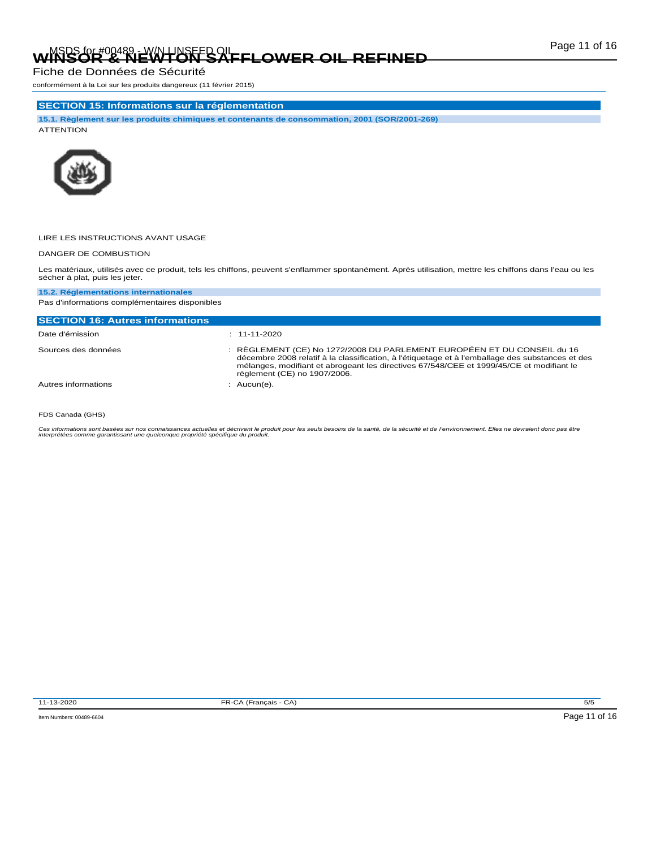# Page 11 of 16 MSDS for #00489 - W/N LINSEED OIL **WINSOR & NEWTON SAFFLOWER OIL REFINED**

Fiche de Données de Sécurité

conformément à la Loi sur les produits dangereux (11 février 2015)

### **SECTION 15: Informations sur la réglementation**

**15.1. Règlement sur les produits chimiques et contenants de consommation, 2001 (SOR/2001-269)** ATTENTION



### LIRE LES INSTRUCTIONS AVANT USAGE

### DANGER DE COMBUSTION

Les matériaux, utilisés avec ce produit, tels les chiffons, peuvent s'enflammer spontanément. Après utilisation, mettre les chiffons dans l'eau ou les sécher à plat, puis les jeter.

#### **15.2. Réglementations internationales** Pas d'informations complémentaires disponibles

| <b>SECTION 16: Autres informations</b> |                                                                                                                                                                                                                                                                                                         |
|----------------------------------------|---------------------------------------------------------------------------------------------------------------------------------------------------------------------------------------------------------------------------------------------------------------------------------------------------------|
| Date d'émission                        | $: 11 - 11 - 2020$                                                                                                                                                                                                                                                                                      |
| Sources des données                    | : RÈGLEMENT (CE) No 1272/2008 DU PARLEMENT EUROPÉEN ET DU CONSEIL du 16<br>décembre 2008 relatif à la classification, à l'étiquetage et à l'emballage des substances et des<br>mélanges, modifiant et abrogeant les directives 67/548/CEE et 1999/45/CE et modifiant le<br>règlement (CE) no 1907/2006. |
| Autres informations                    | $:$ Aucun(e).                                                                                                                                                                                                                                                                                           |

#### FDS Canada (GHS)

Ces informations sont basées sur nos connaissances actuelles et décrivent le produit pour les seuls besoins de la santé, de la sécurité et de l'environnement. Elles ne devraient donc pas être<br>interprétées comme garantissan

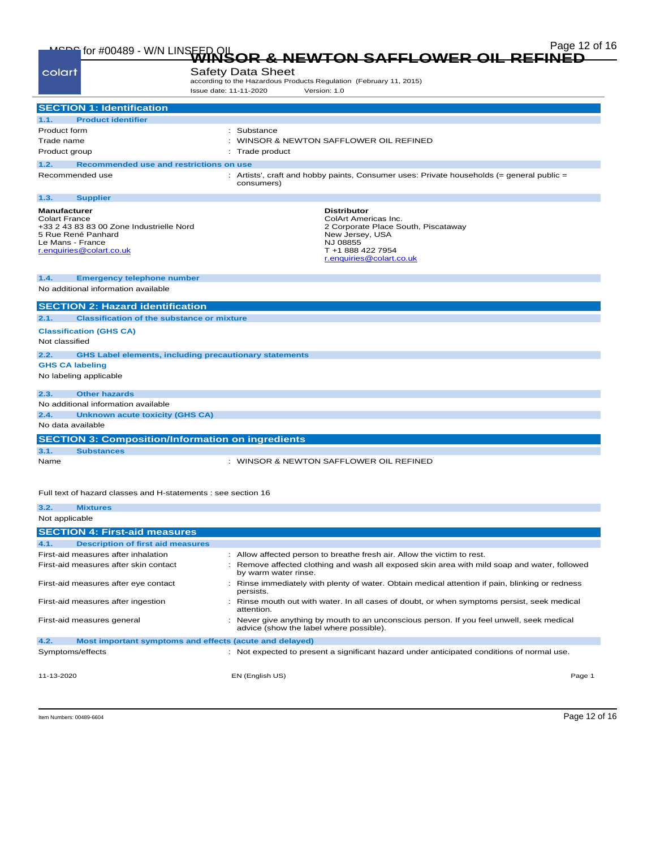|                                                                                                                                                               | Page 12 of 16<br>MEDE for #00489 - W/N LINSEED OIL WINSOR & NEWTON SAFFLOWER OIL REFINED                                                                          |
|---------------------------------------------------------------------------------------------------------------------------------------------------------------|-------------------------------------------------------------------------------------------------------------------------------------------------------------------|
|                                                                                                                                                               |                                                                                                                                                                   |
| colart                                                                                                                                                        | <b>Safety Data Sheet</b><br>according to the Hazardous Products Regulation (February 11, 2015)                                                                    |
|                                                                                                                                                               | Issue date: 11-11-2020<br>Version: 1.0                                                                                                                            |
| <b>SECTION 1: Identification</b>                                                                                                                              |                                                                                                                                                                   |
| <b>Product identifier</b><br>1.1.                                                                                                                             |                                                                                                                                                                   |
| Product form                                                                                                                                                  | : Substance                                                                                                                                                       |
| Trade name                                                                                                                                                    | WINSOR & NEWTON SAFFLOWER OIL REFINED                                                                                                                             |
| Product group                                                                                                                                                 | Trade product                                                                                                                                                     |
| 1.2.                                                                                                                                                          | Recommended use and restrictions on use                                                                                                                           |
| Recommended use                                                                                                                                               | : Artists', craft and hobby paints, Consumer uses: Private households $(=$ general public $=$<br>consumers)                                                       |
| 1.3.<br><b>Supplier</b>                                                                                                                                       |                                                                                                                                                                   |
| <b>Manufacturer</b><br><b>Colart France</b><br>+33 2 43 83 83 00 Zone Industrielle Nord<br>5 Rue René Panhard<br>Le Mans - France<br>r.enquiries@colart.co.uk | <b>Distributor</b><br>ColArt Americas Inc.<br>2 Corporate Place South, Piscataway<br>New Jersey, USA<br>NJ 08855<br>T +1 888 422 7954<br>r.enquiries@colart.co.uk |
| 1.4.<br><b>Emergency telephone number</b>                                                                                                                     |                                                                                                                                                                   |
| No additional information available                                                                                                                           |                                                                                                                                                                   |
| <b>SECTION 2: Hazard identification</b>                                                                                                                       |                                                                                                                                                                   |
| 2.1.                                                                                                                                                          | <b>Classification of the substance or mixture</b>                                                                                                                 |
|                                                                                                                                                               |                                                                                                                                                                   |
| <b>Classification (GHS CA)</b><br>Not classified                                                                                                              |                                                                                                                                                                   |
|                                                                                                                                                               |                                                                                                                                                                   |
| 2.2.                                                                                                                                                          | <b>GHS Label elements, including precautionary statements</b>                                                                                                     |
| <b>GHS CA labeling</b>                                                                                                                                        |                                                                                                                                                                   |
| No labeling applicable                                                                                                                                        |                                                                                                                                                                   |
| <b>Other hazards</b><br>2.3.                                                                                                                                  |                                                                                                                                                                   |
| No additional information available                                                                                                                           |                                                                                                                                                                   |
| 2.4.                                                                                                                                                          | <b>Unknown acute toxicity (GHS CA)</b>                                                                                                                            |
| No data available                                                                                                                                             |                                                                                                                                                                   |
|                                                                                                                                                               | <b>SECTION 3: Composition/Information on ingredients</b>                                                                                                          |
| 3.1.<br><b>Substances</b>                                                                                                                                     |                                                                                                                                                                   |
| Name                                                                                                                                                          | : WINSOR & NEWTON SAFFLOWER OIL REFINED                                                                                                                           |
| 3.2.<br><b>Mixtures</b>                                                                                                                                       | Full text of hazard classes and H-statements : see section 16                                                                                                     |
| Not applicable                                                                                                                                                |                                                                                                                                                                   |
| <b>SECTION 4: First-aid measures</b>                                                                                                                          |                                                                                                                                                                   |
| 4.1.<br><b>Description of first aid measures</b>                                                                                                              |                                                                                                                                                                   |

| <b>Description of first aid measures</b><br>4.1.                |                                                                                                                                    |        |
|-----------------------------------------------------------------|------------------------------------------------------------------------------------------------------------------------------------|--------|
| First-aid measures after inhalation                             | : Allow affected person to breathe fresh air. Allow the victim to rest.                                                            |        |
| First-aid measures after skin contact                           | Remove affected clothing and wash all exposed skin area with mild soap and water, followed<br>by warm water rinse.                 |        |
| First-aid measures after eye contact                            | Rinse immediately with plenty of water. Obtain medical attention if pain, blinking or redness<br>persists.                         |        |
| First-aid measures after ingestion                              | Rinse mouth out with water. In all cases of doubt, or when symptoms persist, seek medical<br>attention.                            |        |
| First-aid measures general                                      | Never give anything by mouth to an unconscious person. If you feel unwell, seek medical<br>advice (show the label where possible). |        |
| 4.2.<br>Most important symptoms and effects (acute and delayed) |                                                                                                                                    |        |
| Symptoms/effects                                                | Not expected to present a significant hazard under anticipated conditions of normal use.<br>÷                                      |        |
| 11-13-2020                                                      | EN (English US)                                                                                                                    | Page 1 |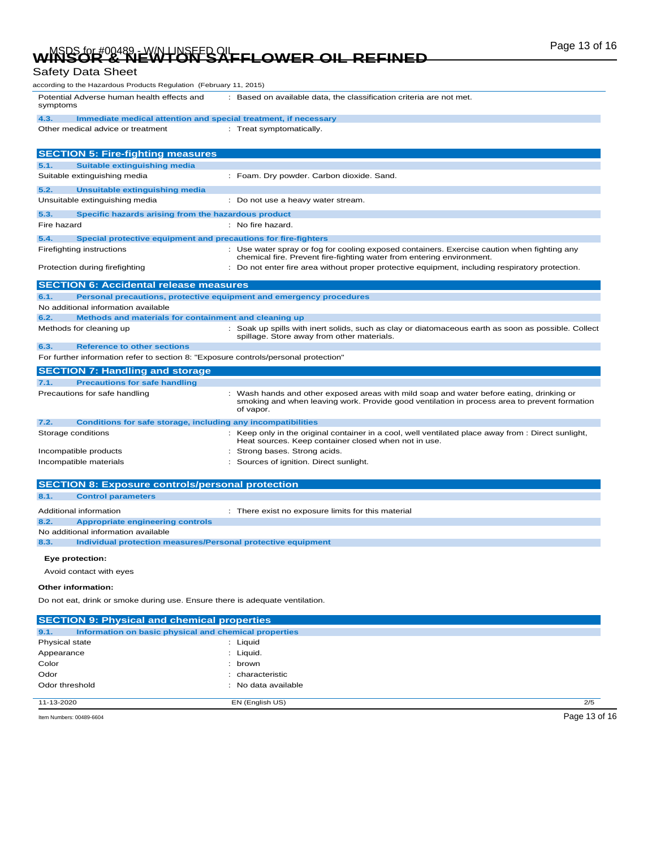# WINSOR & NEWTON SAFFLOWER OIL REFINED Page 13 of 16

### Safety Data Sheet

| according to the Hazardous Products Regulation  (February 11, 2015)                    |                                                                                                                                                                                                       |  |
|----------------------------------------------------------------------------------------|-------------------------------------------------------------------------------------------------------------------------------------------------------------------------------------------------------|--|
| Potential Adverse human health effects and<br>symptoms                                 | : Based on available data, the classification criteria are not met.                                                                                                                                   |  |
| 4.3.<br>Immediate medical attention and special treatment, if necessary                |                                                                                                                                                                                                       |  |
| Other medical advice or treatment                                                      | : Treat symptomatically.                                                                                                                                                                              |  |
| <b>SECTION 5: Fire-fighting measures</b>                                               |                                                                                                                                                                                                       |  |
| <b>Suitable extinguishing media</b><br>5.1.                                            |                                                                                                                                                                                                       |  |
| Suitable extinguishing media                                                           | : Foam. Dry powder. Carbon dioxide. Sand.                                                                                                                                                             |  |
| 5.2.<br>Unsuitable extinguishing media                                                 |                                                                                                                                                                                                       |  |
| Unsuitable extinguishing media                                                         | : Do not use a heavy water stream.                                                                                                                                                                    |  |
| 5.3.<br>Specific hazards arising from the hazardous product                            |                                                                                                                                                                                                       |  |
| Fire hazard                                                                            | : No fire hazard.                                                                                                                                                                                     |  |
| 5.4.<br>Special protective equipment and precautions for fire-fighters                 |                                                                                                                                                                                                       |  |
| Firefighting instructions                                                              | : Use water spray or fog for cooling exposed containers. Exercise caution when fighting any                                                                                                           |  |
|                                                                                        | chemical fire. Prevent fire-fighting water from entering environment.                                                                                                                                 |  |
| Protection during firefighting                                                         | : Do not enter fire area without proper protective equipment, including respiratory protection.                                                                                                       |  |
| <b>SECTION 6: Accidental release measures</b>                                          |                                                                                                                                                                                                       |  |
| 6.1.                                                                                   | Personal precautions, protective equipment and emergency procedures                                                                                                                                   |  |
| No additional information available                                                    |                                                                                                                                                                                                       |  |
| 6.2.<br>Methods and materials for containment and cleaning up                          |                                                                                                                                                                                                       |  |
| Methods for cleaning up                                                                | : Soak up spills with inert solids, such as clay or diatomaceous earth as soon as possible. Collect<br>spillage. Store away from other materials.                                                     |  |
| 6.3.<br><b>Reference to other sections</b>                                             |                                                                                                                                                                                                       |  |
| For further information refer to section 8: "Exposure controls/personal protection"    |                                                                                                                                                                                                       |  |
| <b>SECTION 7: Handling and storage</b>                                                 |                                                                                                                                                                                                       |  |
| <b>Precautions for safe handling</b><br>7.1.                                           |                                                                                                                                                                                                       |  |
| Precautions for safe handling                                                          | : Wash hands and other exposed areas with mild soap and water before eating, drinking or<br>smoking and when leaving work. Provide good ventilation in process area to prevent formation<br>of vapor. |  |
| <b>Conditions for safe storage, including any incompatibilities</b><br>7.2.            |                                                                                                                                                                                                       |  |
| Storage conditions                                                                     | : Keep only in the original container in a cool, well ventilated place away from : Direct sunlight,                                                                                                   |  |
|                                                                                        | Heat sources. Keep container closed when not in use.<br>: Strong bases. Strong acids.                                                                                                                 |  |
| Incompatible products<br>Incompatible materials                                        | : Sources of ignition. Direct sunlight.                                                                                                                                                               |  |
|                                                                                        |                                                                                                                                                                                                       |  |
| <b>SECTION 8: Exposure controls/personal protection</b>                                |                                                                                                                                                                                                       |  |
| 8.1.<br><b>Control parameters</b>                                                      |                                                                                                                                                                                                       |  |
|                                                                                        |                                                                                                                                                                                                       |  |
| Additional information                                                                 | : There exist no exposure limits for this material                                                                                                                                                    |  |
| 8.2.<br><b>Appropriate engineering controls</b><br>No additional information available |                                                                                                                                                                                                       |  |
| 8.3.<br>Individual protection measures/Personal protective equipment                   |                                                                                                                                                                                                       |  |
|                                                                                        |                                                                                                                                                                                                       |  |
| Eye protection:                                                                        |                                                                                                                                                                                                       |  |
| Avoid contact with eyes                                                                |                                                                                                                                                                                                       |  |
| Other information:                                                                     |                                                                                                                                                                                                       |  |
| Do not eat, drink or smoke during use. Ensure there is adequate ventilation.           |                                                                                                                                                                                                       |  |
| <b>SECTION 9: Physical and chemical properties</b>                                     |                                                                                                                                                                                                       |  |
| 9.1.<br>Information on basic physical and chemical properties                          |                                                                                                                                                                                                       |  |
| Physical state                                                                         | : Liquid                                                                                                                                                                                              |  |
| Appearance                                                                             | : Liquid.                                                                                                                                                                                             |  |
| Color                                                                                  | : brown                                                                                                                                                                                               |  |
| Odor                                                                                   | : characteristic                                                                                                                                                                                      |  |
| Odor threshold                                                                         | : No data available                                                                                                                                                                                   |  |
|                                                                                        |                                                                                                                                                                                                       |  |

11-13-2020 EN (English US) 2/5

Item Numbers: 00489-6604 Page 13 of 16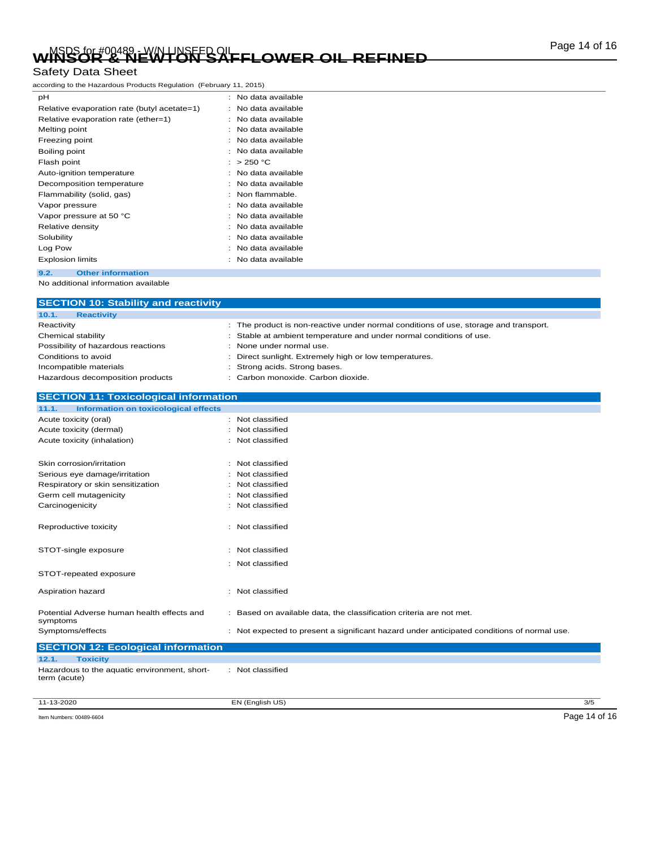# Page 14 of 16 MSDS for #00489 - W/N LINSEED OIL **WINSOR & NEWTON SAFFLOWER OIL REFINED**

### Safety Data Sheet

according to the Hazardous Products Regulation (February 11, 2015)

| pH                                          | No data available |
|---------------------------------------------|-------------------|
| Relative evaporation rate (butyl acetate=1) | No data available |
| Relative evaporation rate (ether=1)         | No data available |
| Melting point                               | No data available |
| Freezing point                              | No data available |
| Boiling point                               | No data available |
| Flash point                                 | >250 °C           |
| Auto-ignition temperature                   | No data available |
| Decomposition temperature                   | No data available |
| Flammability (solid, gas)                   | Non flammable.    |
| Vapor pressure                              | No data available |
| Vapor pressure at 50 °C                     | No data available |
| Relative density                            | No data available |
| Solubility                                  | No data available |
| Log Pow                                     | No data available |
| <b>Explosion limits</b>                     | No data available |
| <b>Other information</b><br>9.2.            |                   |

No additional information available

| <b>SECTION 10: Stability and reactivity</b><br>10.1.<br><b>Reactivity</b> |                                                                                                                                                           |
|---------------------------------------------------------------------------|-----------------------------------------------------------------------------------------------------------------------------------------------------------|
|                                                                           |                                                                                                                                                           |
| Reactivity                                                                | : The product is non-reactive under normal conditions of use, storage and transport.<br>Stable at ambient temperature and under normal conditions of use. |
| Chemical stability<br>Possibility of hazardous reactions                  | None under normal use.                                                                                                                                    |
| Conditions to avoid                                                       | Direct sunlight. Extremely high or low temperatures.                                                                                                      |
| Incompatible materials                                                    | Strong acids. Strong bases.                                                                                                                               |
| Hazardous decomposition products                                          | Carbon monoxide. Carbon dioxide.                                                                                                                          |
|                                                                           |                                                                                                                                                           |
| <b>SECTION 11: Toxicological information</b>                              |                                                                                                                                                           |
| <b>Information on toxicological effects</b><br>11.1.                      |                                                                                                                                                           |
| Acute toxicity (oral)                                                     | : Not classified                                                                                                                                          |
| Acute toxicity (dermal)                                                   | : Not classified                                                                                                                                          |
| Acute toxicity (inhalation)                                               | Not classified                                                                                                                                            |
| Skin corrosion/irritation                                                 | : Not classified                                                                                                                                          |
| Serious eye damage/irritation                                             | Not classified                                                                                                                                            |
| Respiratory or skin sensitization                                         | Not classified                                                                                                                                            |
| Germ cell mutagenicity                                                    | : Not classified                                                                                                                                          |
| Carcinogenicity                                                           | : Not classified                                                                                                                                          |
| Reproductive toxicity                                                     | : Not classified                                                                                                                                          |
| STOT-single exposure                                                      | Not classified                                                                                                                                            |
|                                                                           | Not classified                                                                                                                                            |
| STOT-repeated exposure                                                    |                                                                                                                                                           |
| Aspiration hazard                                                         | Not classified<br>÷.                                                                                                                                      |
| Potential Adverse human health effects and<br>symptoms                    | : Based on available data, the classification criteria are not met.                                                                                       |
| Symptoms/effects                                                          | : Not expected to present a significant hazard under anticipated conditions of normal use.                                                                |
| <b>SECTION 12: Ecological information</b>                                 |                                                                                                                                                           |
| 12.1.<br><b>Toxicity</b>                                                  |                                                                                                                                                           |
| Hazardous to the aquatic environment, short-<br>term (acute)              | : Not classified                                                                                                                                          |

11-13-2020 EN (English US) 3/5 Item Numbers: 00489-6604 Page 14 of 16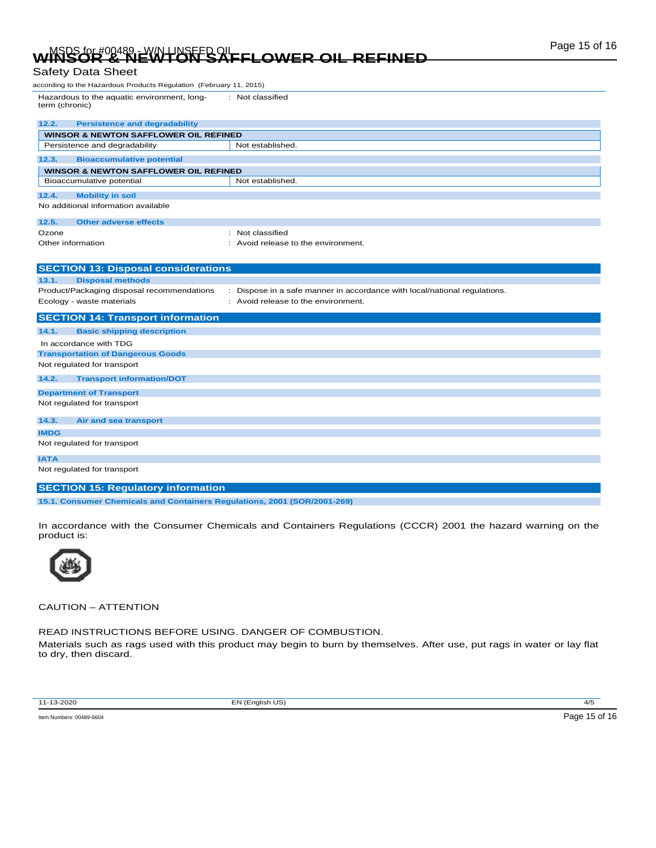## WINSOR & NEWTON SAFFLOWER OIL REFINED Page 15 of 16 Safety Data Sheet

| Odicty Data Officet                                                     |                                                                         |  |  |
|-------------------------------------------------------------------------|-------------------------------------------------------------------------|--|--|
| according to the Hazardous Products Regulation (February 11, 2015)      |                                                                         |  |  |
| Hazardous to the aquatic environment, long-<br>term (chronic)           | : Not classified                                                        |  |  |
| 12.2.<br><b>Persistence and degradability</b>                           |                                                                         |  |  |
| <b>WINSOR &amp; NEWTON SAFFLOWER OIL REFINED</b>                        |                                                                         |  |  |
| Persistence and degradability                                           | Not established.                                                        |  |  |
| 12.3.<br><b>Bioaccumulative potential</b>                               |                                                                         |  |  |
| <b>WINSOR &amp; NEWTON SAFFLOWER OIL REFINED</b>                        |                                                                         |  |  |
| Bioaccumulative potential                                               | Not established.                                                        |  |  |
| 12.4.<br><b>Mobility in soil</b>                                        |                                                                         |  |  |
| No additional information available                                     |                                                                         |  |  |
| 12.5.<br>Other adverse effects                                          |                                                                         |  |  |
| Ozone                                                                   | : Not classified                                                        |  |  |
| Other information                                                       | : Avoid release to the environment.                                     |  |  |
|                                                                         |                                                                         |  |  |
| <b>SECTION 13: Disposal considerations</b>                              |                                                                         |  |  |
| 13.1.<br><b>Disposal methods</b>                                        | Dispose in a safe manner in accordance with local/national regulations. |  |  |
| Product/Packaging disposal recommendations<br>Ecology - waste materials | : Avoid release to the environment.                                     |  |  |
|                                                                         |                                                                         |  |  |
| <b>SECTION 14: Transport information</b>                                |                                                                         |  |  |
| 14.1.<br><b>Basic shipping description</b>                              |                                                                         |  |  |
| In accordance with TDG                                                  |                                                                         |  |  |
| <b>Transportation of Dangerous Goods</b>                                |                                                                         |  |  |
| Not regulated for transport                                             |                                                                         |  |  |
| 14.2.<br><b>Transport information/DOT</b>                               |                                                                         |  |  |

| <b>Department of Transport</b> |
|--------------------------------|
| Not regulated for transport    |
|                                |
| 14.3.<br>Air and sea transport |
| <b>IMDG</b>                    |
|                                |
| Not regulated for transport    |
|                                |
| <b>IATA</b>                    |
| Not regulated for transport    |

### **SECTION 15: Regulatory information**

**15.1. Consumer Chemicals and Containers Regulations, 2001 (SOR/2001-269)**

In accordance with the Consumer Chemicals and Containers Regulations (CCCR) 2001 the hazard warning on the product is:



CAUTION – ATTENTION

READ INSTRUCTIONS BEFORE USING. DANGER OF COMBUSTION.

Materials such as rags used with this product may begin to burn by themselves. After use, put rags in water or lay flat to dry, then discard.

11-13-2020 EN (English US) 4/5

Item Numbers: 00489-6604 Page 15 of 16